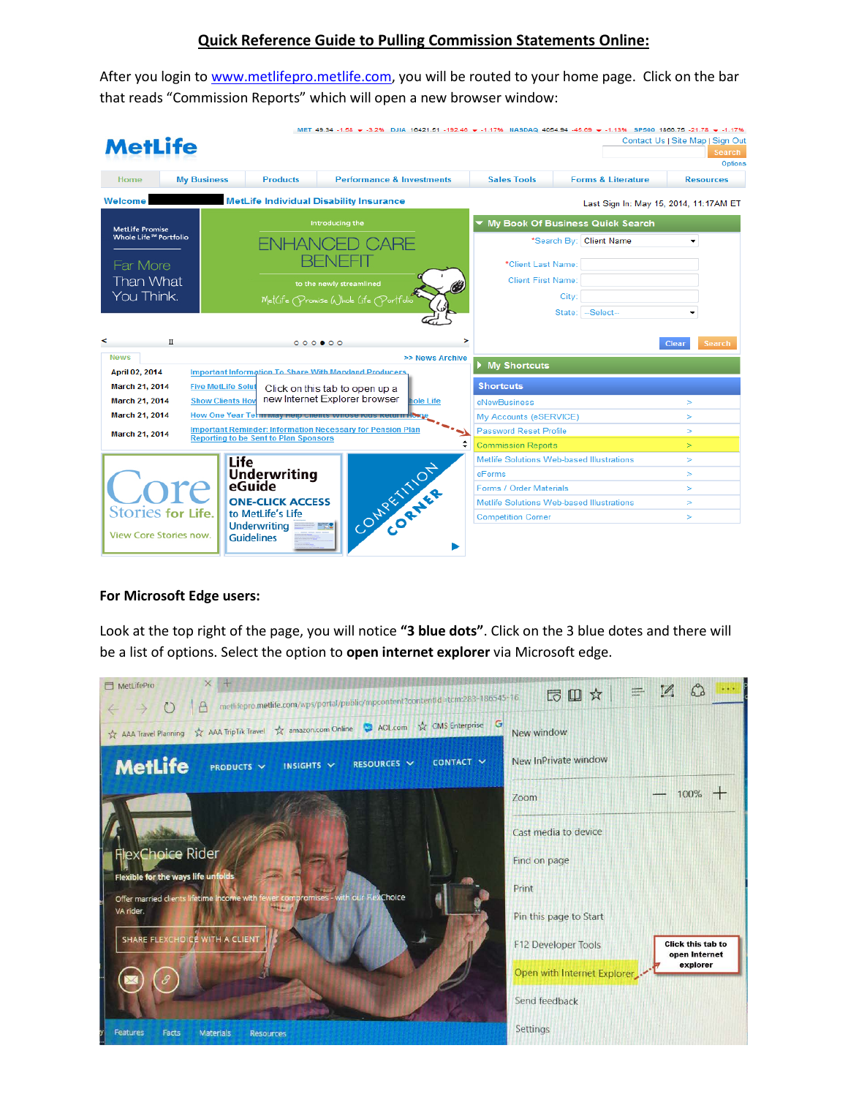## **Quick Reference Guide to Pulling Commission Statements Online:**

After you login t[o www.metlifepro.metlife.com,](http://www.metlifepro.metlife.com/) you will be routed to your home page. Click on the bar that reads "Commission Reports" which will open a new browser window:

| <b>MetLife</b>                                                                                      |                                                                                                 |                                                                                                                                                                                                                                   |                                      |                  |                                                                                         | MET 49.34 -1.58 → -3.2% DJIA 16421.51 -192.46 → -1.17% NASDAQ 4054.94 -45.69 → -1.13% SP500 1866.75 -21.78 → -1.17% | Contact Us   Site Map   Sign Out<br>Search<br>Options |  |
|-----------------------------------------------------------------------------------------------------|-------------------------------------------------------------------------------------------------|-----------------------------------------------------------------------------------------------------------------------------------------------------------------------------------------------------------------------------------|--------------------------------------|------------------|-----------------------------------------------------------------------------------------|---------------------------------------------------------------------------------------------------------------------|-------------------------------------------------------|--|
| Home                                                                                                | <b>My Business</b>                                                                              | <b>Products</b>                                                                                                                                                                                                                   | <b>Performance &amp; Investments</b> |                  | <b>Sales Tools</b>                                                                      | <b>Forms &amp; Literature</b>                                                                                       | <b>Resources</b>                                      |  |
| Welcome<br><b>MetLife Individual Disability Insurance</b>                                           |                                                                                                 |                                                                                                                                                                                                                                   |                                      |                  | Last Sign In: May 15, 2014, 11:17AM ET                                                  |                                                                                                                     |                                                       |  |
| <b>MetLife Promise</b><br>Whole Life <sup>5M</sup> Portfolio<br>Far More<br>Than What<br>You Think. |                                                                                                 | Introducing the<br>NHAN<br>to the newly streamlined<br>MetGfe Promise Whole Gfe Portfolio                                                                                                                                         |                                      |                  | My Book Of Business Quick Search<br>*Search By: Client Name<br>$\overline{\phantom{0}}$ |                                                                                                                     |                                                       |  |
|                                                                                                     |                                                                                                 |                                                                                                                                                                                                                                   |                                      |                  | *Client Last Name:<br><b>Client First Name:</b>                                         |                                                                                                                     |                                                       |  |
|                                                                                                     |                                                                                                 |                                                                                                                                                                                                                                   |                                      |                  |                                                                                         | City:<br>State: -Select--                                                                                           |                                                       |  |
| ۰<br>Π                                                                                              |                                                                                                 | 0000000                                                                                                                                                                                                                           |                                      | >                |                                                                                         |                                                                                                                     | <b>Search</b><br>Clear                                |  |
| <b>April 02, 2014</b>                                                                               | <b>News</b><br>>> News Archive<br><b>Important Information To Share With Maryland Producers</b> |                                                                                                                                                                                                                                   |                                      |                  | <b>My Shortcuts</b>                                                                     |                                                                                                                     |                                                       |  |
| <b>March 21, 2014</b>                                                                               | <b>Five MetLife Solut</b>                                                                       | Click on this tab to open up a                                                                                                                                                                                                    |                                      | <b>Shortcuts</b> |                                                                                         |                                                                                                                     |                                                       |  |
| <b>March 21, 2014</b>                                                                               | <b>Show Clients Hov</b>                                                                         | new Internet Explorer browser<br><b>iole Life</b><br>How One Year Term way neip chems vyhose Kius Return How<br><b>Important Reminder: Information Necessary for Pension Plan</b><br><b>Reporting to be Sent to Plan Sponsors</b> |                                      |                  | eNewBusiness                                                                            | $\geq$                                                                                                              |                                                       |  |
| <b>March 21, 2014</b>                                                                               |                                                                                                 |                                                                                                                                                                                                                                   |                                      |                  | My Accounts (eSERVICE)                                                                  |                                                                                                                     | $\geq$                                                |  |
| <b>March 21, 2014</b>                                                                               |                                                                                                 |                                                                                                                                                                                                                                   |                                      |                  | <b>Password Reset Profile</b>                                                           | $\geq$                                                                                                              |                                                       |  |
|                                                                                                     |                                                                                                 |                                                                                                                                                                                                                                   |                                      |                  | <b>Commission Reports</b>                                                               | $\geq$                                                                                                              |                                                       |  |
|                                                                                                     | Life                                                                                            |                                                                                                                                                                                                                                   |                                      |                  | Metlife Solutions Web-based Illustrations                                               |                                                                                                                     | $\geq$                                                |  |
|                                                                                                     |                                                                                                 | CONVENTION<br><b>Underwriting</b><br>eGuide<br><b>ONE-CLICK ACCESS</b><br>to MetLife's Life                                                                                                                                       |                                      |                  | eForms<br><b>Forms / Order Materials</b>                                                | $\geq$<br>$\geq$                                                                                                    |                                                       |  |
| ore                                                                                                 |                                                                                                 |                                                                                                                                                                                                                                   |                                      |                  | Metlife Solutions Web-based Illustrations                                               | $\geq$                                                                                                              |                                                       |  |
| Stories for Life.                                                                                   |                                                                                                 |                                                                                                                                                                                                                                   |                                      |                  | <b>Competition Corner</b>                                                               | $\geq$                                                                                                              |                                                       |  |
| <b>View Core Stories now.</b>                                                                       |                                                                                                 | <b>Underwriting</b><br><b>Guidelines</b>                                                                                                                                                                                          |                                      |                  |                                                                                         |                                                                                                                     |                                                       |  |

## **For Microsoft Edge users:**

Look at the top right of the page, you will notice **"3 blue dots"**. Click on the 3 blue dotes and there will be a list of options. Select the option to **open internet explorer** via Microsoft edge.

| $\times$<br>MetLifePro<br>metlifepro.metlife.com/wps/portal/public/mpcontent?contentId=tcm:283-186545-16                                                | $\mathscr{D}_{\mathsf{a}}$<br>同田☆                                            |
|---------------------------------------------------------------------------------------------------------------------------------------------------------|------------------------------------------------------------------------------|
| А<br>$\left( \begin{array}{c} 1 \end{array} \right)$<br>G<br>☆ AAA TripTik Travel ☆ amazon.com Online → AOL.com ☆ CMS Enterprise<br>AAA Travel Planning | New window                                                                   |
| MetLife<br>CONTACT V<br>RESOURCES V<br>INSIGHTS V<br>PRODUCTS V                                                                                         | New InPrivate window                                                         |
|                                                                                                                                                         | $100\%$ +<br>$7$ oom                                                         |
|                                                                                                                                                         | Cast media to device                                                         |
| <b>FlexChoice Rider</b><br>Flexible for the ways life unfolds                                                                                           | Find on page                                                                 |
| Offer married clients lifetime income with fewer compromises - with our FlexChoice                                                                      | Print                                                                        |
| VA rider.                                                                                                                                               | Pin this page to Start                                                       |
| SHARE FLEXCHOICE WITH A CLIENT                                                                                                                          | <b>Click this tab to</b><br>F12 Developer Tools<br>open Internet<br>explorer |
|                                                                                                                                                         | Open with Internet Explorer                                                  |
|                                                                                                                                                         | Send feedback                                                                |
| <b>Features</b><br>Facts<br>Materials<br><b>Resources</b>                                                                                               | Settings                                                                     |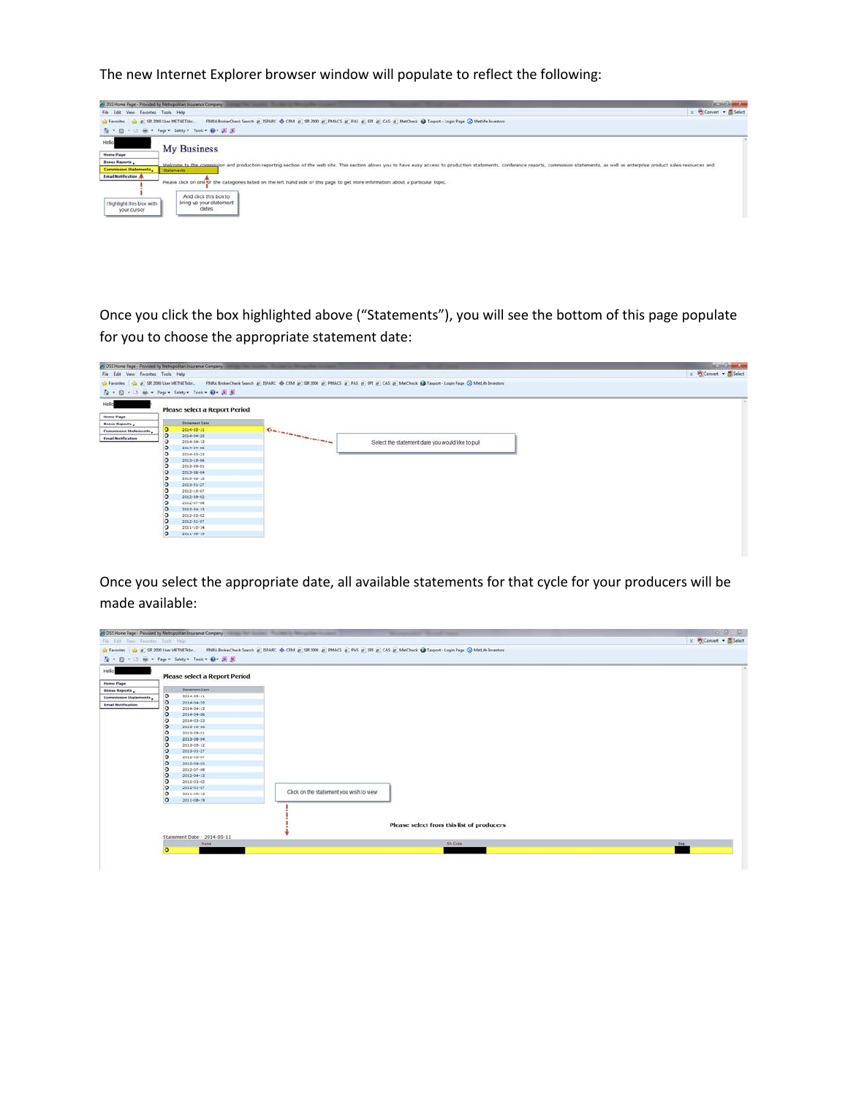The new Internet Explorer browser window will populate to reflect the following:



Once you click the box highlighted above ("Statements"), you will see the bottom of this page populate for you to choose the appropriate statement date:

|                                     | <sup>4</sup> DSS Home Page - Provided by Metropolitan Insurance Company | ____                                                                                                                                                                                                                                 | <b>RONOHAM</b>       |
|-------------------------------------|-------------------------------------------------------------------------|--------------------------------------------------------------------------------------------------------------------------------------------------------------------------------------------------------------------------------------|----------------------|
| File Edit View Favorites Tools Help |                                                                         |                                                                                                                                                                                                                                      | x Convert . ElSelect |
|                                     |                                                                         | a Favorites a 198 2000 User METHETIds FBWA BrokerCheck Search @ ISPARC @ CRM @ SR 2000 @ PMACS @ PAS @ FR @ CAS @ MetCheck @ Taxport - Login Page @ MetLife Investors                                                                |                      |
|                                     | G · 图 · 回 m · Page · Safety · Tools · O · 周 图                           |                                                                                                                                                                                                                                      |                      |
| Helio                               |                                                                         |                                                                                                                                                                                                                                      |                      |
|                                     | <b>Please select a Report Period</b>                                    |                                                                                                                                                                                                                                      |                      |
| <b>Home Page</b>                    |                                                                         |                                                                                                                                                                                                                                      |                      |
| <b>Bonus Reports</b>                | <b>Statement Date</b>                                                   |                                                                                                                                                                                                                                      |                      |
| Commission Statements               | 2014-00-11<br>o                                                         | <b>Construction of the Construction of the Construction of the Construction of the Construction of the Construction of the Construction of the Construction of the Construction of the Construction of the Construction of the C</b> |                      |
| <b>Email Notification</b>           | $\overline{a}$<br>2014-04-20                                            |                                                                                                                                                                                                                                      |                      |
|                                     | 2014-04-13                                                              | Select the statement date you would like to pull                                                                                                                                                                                     |                      |
|                                     | $2014.04 - 06$<br>c                                                     |                                                                                                                                                                                                                                      |                      |
|                                     | $2014 - 03 - 23$<br>c                                                   |                                                                                                                                                                                                                                      |                      |
|                                     | 2013-10-06<br>Ð                                                         |                                                                                                                                                                                                                                      |                      |
|                                     | 2013-09-01<br>c                                                         |                                                                                                                                                                                                                                      |                      |
|                                     | 2013-08-04<br>Ð                                                         |                                                                                                                                                                                                                                      |                      |
|                                     | c<br>2013-05-12                                                         |                                                                                                                                                                                                                                      |                      |
|                                     | 2013-01-27<br>Ð                                                         |                                                                                                                                                                                                                                      |                      |
|                                     | 2012-18-07<br>c                                                         |                                                                                                                                                                                                                                      |                      |
|                                     | 2012-09-02<br>Ð<br>iÐ.                                                  |                                                                                                                                                                                                                                      |                      |
|                                     | 2012-07-08                                                              |                                                                                                                                                                                                                                      |                      |
|                                     | Æ<br>2012-04-13<br>2012-03-02<br>Ð                                      |                                                                                                                                                                                                                                      |                      |
|                                     | $2012.01 - 07$<br>ĸ                                                     |                                                                                                                                                                                                                                      |                      |
|                                     | Ð<br>$2011 \cdot 10 \cdot 14$                                           |                                                                                                                                                                                                                                      |                      |
|                                     | Ð<br>2011-08-19                                                         |                                                                                                                                                                                                                                      |                      |
|                                     |                                                                         |                                                                                                                                                                                                                                      |                      |

Once you select the appropriate date, all available statements for that cycle for your producers will be made available:

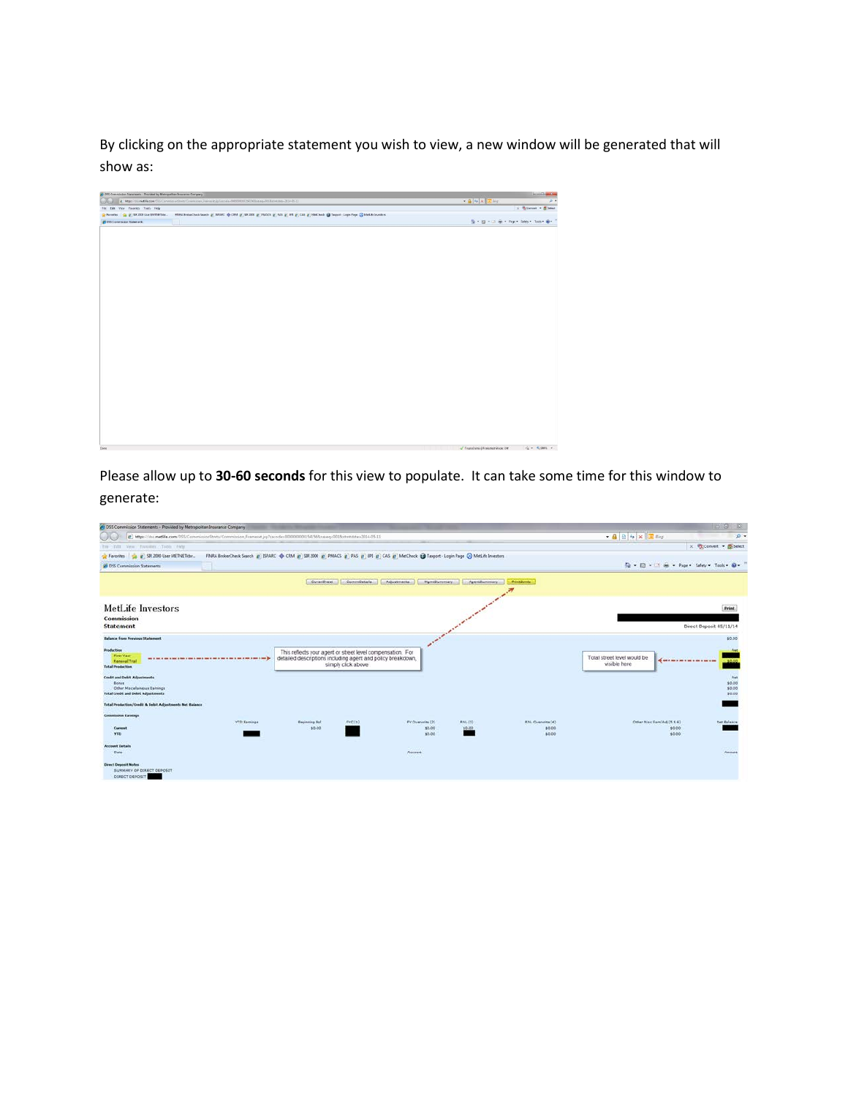By clicking on the appropriate statement you wish to view, a new window will be generated that will show as:

| (B) Miss / di indiffe.com/DSS CommissionEnts/Commission_Funnant.jp/secode=0000000001541968sastq=001Ast=4dsts=2914-05-11<br><b>College</b><br>File Edit View Favorites Tools Help<br>Flavelies (a g) SR 2000 the MITHETREM. FRIEA BrokerChack Search g) SERRC @ CRM g) SR 2000 g) PMACS g) FMS g) ETE g) CAS g) MeCheck @ Taspert-Login Page @ Metille Investors<br>29 DSS Commission Statements | $+ 85$ $5$ $\sqrt{2}$ and | $\rho$ .<br>X Convert . El Select<br>Q → Q → L3 m → Page + Safety + Tools + Q + |
|-------------------------------------------------------------------------------------------------------------------------------------------------------------------------------------------------------------------------------------------------------------------------------------------------------------------------------------------------------------------------------------------------|---------------------------|---------------------------------------------------------------------------------|
|                                                                                                                                                                                                                                                                                                                                                                                                 |                           |                                                                                 |
|                                                                                                                                                                                                                                                                                                                                                                                                 |                           |                                                                                 |
|                                                                                                                                                                                                                                                                                                                                                                                                 |                           |                                                                                 |
|                                                                                                                                                                                                                                                                                                                                                                                                 |                           |                                                                                 |
|                                                                                                                                                                                                                                                                                                                                                                                                 |                           |                                                                                 |
|                                                                                                                                                                                                                                                                                                                                                                                                 |                           |                                                                                 |
|                                                                                                                                                                                                                                                                                                                                                                                                 |                           |                                                                                 |
|                                                                                                                                                                                                                                                                                                                                                                                                 |                           |                                                                                 |
|                                                                                                                                                                                                                                                                                                                                                                                                 |                           |                                                                                 |
|                                                                                                                                                                                                                                                                                                                                                                                                 |                           |                                                                                 |
|                                                                                                                                                                                                                                                                                                                                                                                                 |                           |                                                                                 |
|                                                                                                                                                                                                                                                                                                                                                                                                 |                           |                                                                                 |
|                                                                                                                                                                                                                                                                                                                                                                                                 |                           |                                                                                 |
|                                                                                                                                                                                                                                                                                                                                                                                                 |                           |                                                                                 |
|                                                                                                                                                                                                                                                                                                                                                                                                 |                           |                                                                                 |
|                                                                                                                                                                                                                                                                                                                                                                                                 |                           |                                                                                 |
|                                                                                                                                                                                                                                                                                                                                                                                                 |                           |                                                                                 |
|                                                                                                                                                                                                                                                                                                                                                                                                 |                           |                                                                                 |
|                                                                                                                                                                                                                                                                                                                                                                                                 |                           |                                                                                 |
|                                                                                                                                                                                                                                                                                                                                                                                                 |                           |                                                                                 |
|                                                                                                                                                                                                                                                                                                                                                                                                 |                           |                                                                                 |
|                                                                                                                                                                                                                                                                                                                                                                                                 |                           |                                                                                 |
|                                                                                                                                                                                                                                                                                                                                                                                                 |                           |                                                                                 |
|                                                                                                                                                                                                                                                                                                                                                                                                 |                           |                                                                                 |
|                                                                                                                                                                                                                                                                                                                                                                                                 |                           |                                                                                 |
|                                                                                                                                                                                                                                                                                                                                                                                                 |                           |                                                                                 |
|                                                                                                                                                                                                                                                                                                                                                                                                 |                           |                                                                                 |
|                                                                                                                                                                                                                                                                                                                                                                                                 |                           |                                                                                 |
|                                                                                                                                                                                                                                                                                                                                                                                                 |                           |                                                                                 |
|                                                                                                                                                                                                                                                                                                                                                                                                 |                           |                                                                                 |
|                                                                                                                                                                                                                                                                                                                                                                                                 |                           |                                                                                 |
|                                                                                                                                                                                                                                                                                                                                                                                                 |                           |                                                                                 |
|                                                                                                                                                                                                                                                                                                                                                                                                 |                           |                                                                                 |
|                                                                                                                                                                                                                                                                                                                                                                                                 |                           |                                                                                 |
|                                                                                                                                                                                                                                                                                                                                                                                                 |                           |                                                                                 |
|                                                                                                                                                                                                                                                                                                                                                                                                 |                           |                                                                                 |
|                                                                                                                                                                                                                                                                                                                                                                                                 |                           |                                                                                 |

Please allow up to **30-60 seconds** for this view to populate. It can take some time for this window to generate:

| 4: DSS Commission Statements - Provided by Metropolitan Insurance Company                                                 |                                                                                                                                   |                                                                                                                           |                    |                                      |                    |                                            |                                                 | $\Box$ $\Box$<br>$-13$                    |
|---------------------------------------------------------------------------------------------------------------------------|-----------------------------------------------------------------------------------------------------------------------------------|---------------------------------------------------------------------------------------------------------------------------|--------------------|--------------------------------------|--------------------|--------------------------------------------|-------------------------------------------------|-------------------------------------------|
| ww                                                                                                                        | [2] https://doi.metife.com/DSS/CommissionStmts/Commission_Frameset.jsp?sacode=0000000000341568saseq=001&stmtstde=2014-05-11       |                                                                                                                           |                    |                                      |                    |                                            | - 4 2 4 × 回 8mg                                 | $p +$                                     |
| The Till Vew Favories Tools Help                                                                                          |                                                                                                                                   |                                                                                                                           |                    |                                      |                    |                                            |                                                 | x Convert - ESelect                       |
| the art 528, 2000 User METNETabr<br><b>Car Favorites</b>                                                                  | FINRA BrokerCheck Search @ ISPARC @ CRM @ SR 2000 @ PMACS @ PAS @ LPL @ CAS @ MetCheck @ Taxport - Login Page @ MetLife Investors |                                                                                                                           |                    |                                      |                    |                                            |                                                 |                                           |
| 29 DSS Commission Statements                                                                                              |                                                                                                                                   |                                                                                                                           |                    |                                      |                    |                                            | Q - 図 - □ 曲 - Page - Safety - Tools → Q -       |                                           |
|                                                                                                                           |                                                                                                                                   | CoverSheet                                                                                                                | CommDetails        | Adjustments<br>MamtSummary           | ApentSummary       | <b>DrinkShmts</b>                          |                                                 |                                           |
| <b>MetLife Investors</b><br>Commission                                                                                    |                                                                                                                                   |                                                                                                                           |                    |                                      |                    |                                            |                                                 | <b>Print</b>                              |
| <b>Statement</b>                                                                                                          |                                                                                                                                   |                                                                                                                           |                    |                                      |                    |                                            |                                                 | Direct Deposit 05/11/14                   |
| <b>Balance from Previous Statement</b>                                                                                    |                                                                                                                                   |                                                                                                                           |                    |                                      |                    |                                            |                                                 | \$0.00                                    |
| Production<br><b>First Vear</b><br><b>Renewal/Trail</b><br><b>Total Production</b>                                        |                                                                                                                                   | This reflects your agent or street level compensation. For<br>detailed descriptions including agent and policy breakdown, | simply click above |                                      |                    |                                            | Total street level would be<br>visible here     |                                           |
| <b>Credit and Debit Adjustments</b><br>Bonus<br>Other Miscellaneous Eatnings<br><b>Total Credit and Debit Adjustments</b> |                                                                                                                                   |                                                                                                                           |                    |                                      |                    |                                            |                                                 | <b>Piet</b><br>\$0.00<br>\$0.00<br>\$0.00 |
| Total Production/Credit & Debit Adjustments Net Salance                                                                   |                                                                                                                                   |                                                                                                                           |                    |                                      |                    |                                            |                                                 |                                           |
| <b>Commission Earnings</b><br>Current<br><b>YED</b>                                                                       | <b>YTD Earnings</b>                                                                                                               | <b>Beginning Bal</b><br>10.00                                                                                             | F(C(1))            | FY Overwrite (2)<br>\$0.00<br>\$0.00 | RNL-[3]<br>'\$0.00 | <b>RNL Overwrite (4)</b><br>60.00<br>60.00 | Other Misc Earn/Adj (5 S 6)<br>\$0.00<br>\$0.00 | Net Balance                               |
| <b>Account Details</b><br><b>Date</b>                                                                                     |                                                                                                                                   |                                                                                                                           |                    | Account                              |                    |                                            |                                                 | Amsent                                    |
| <b>Direct Deposit Notes</b><br>SUMMARY OF DIRECT DEPOSIT<br>DIRECT DEPOSIT                                                |                                                                                                                                   |                                                                                                                           |                    |                                      |                    |                                            |                                                 |                                           |